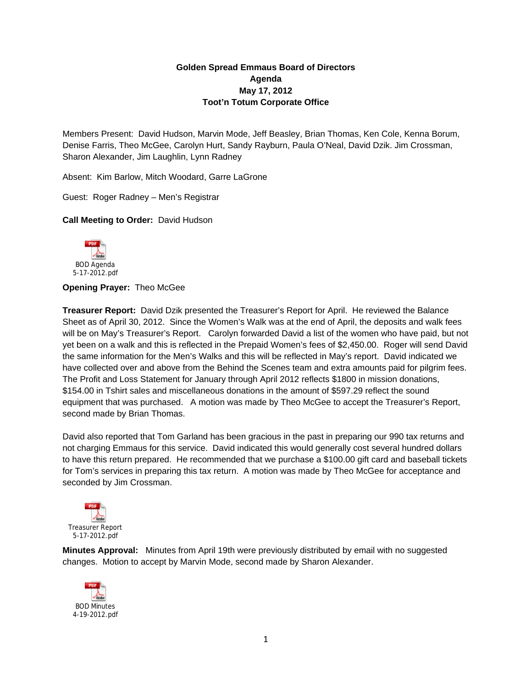## **Golden Spread Emmaus Board of Directors Agenda May 17, 2012 Toot'n Totum Corporate Office**

Members Present: David Hudson, Marvin Mode, Jeff Beasley, Brian Thomas, Ken Cole, Kenna Borum, Denise Farris, Theo McGee, Carolyn Hurt, Sandy Rayburn, Paula O'Neal, David Dzik. Jim Crossman, Sharon Alexander, Jim Laughlin, Lynn Radney

Absent: Kim Barlow, Mitch Woodard, Garre LaGrone

Guest: Roger Radney – Men's Registrar

**Call Meeting to Order:** David Hudson



**Opening Prayer:** Theo McGee

**Treasurer Report:** David Dzik presented the Treasurer's Report for April. He reviewed the Balance Sheet as of April 30, 2012. Since the Women's Walk was at the end of April, the deposits and walk fees will be on May's Treasurer's Report. Carolyn forwarded David a list of the women who have paid, but not yet been on a walk and this is reflected in the Prepaid Women's fees of \$2,450.00. Roger will send David the same information for the Men's Walks and this will be reflected in May's report. David indicated we have collected over and above from the Behind the Scenes team and extra amounts paid for pilgrim fees. The Profit and Loss Statement for January through April 2012 reflects \$1800 in mission donations, \$154.00 in Tshirt sales and miscellaneous donations in the amount of \$597.29 reflect the sound equipment that was purchased. A motion was made by Theo McGee to accept the Treasurer's Report, second made by Brian Thomas.

David also reported that Tom Garland has been gracious in the past in preparing our 990 tax returns and not charging Emmaus for this service. David indicated this would generally cost several hundred dollars to have this return prepared. He recommended that we purchase a \$100.00 gift card and baseball tickets for Tom's services in preparing this tax return. A motion was made by Theo McGee for acceptance and seconded by Jim Crossman.



**Minutes Approval:** Minutes from April 19th were previously distributed by email with no suggested changes. Motion to accept by Marvin Mode, second made by Sharon Alexander.

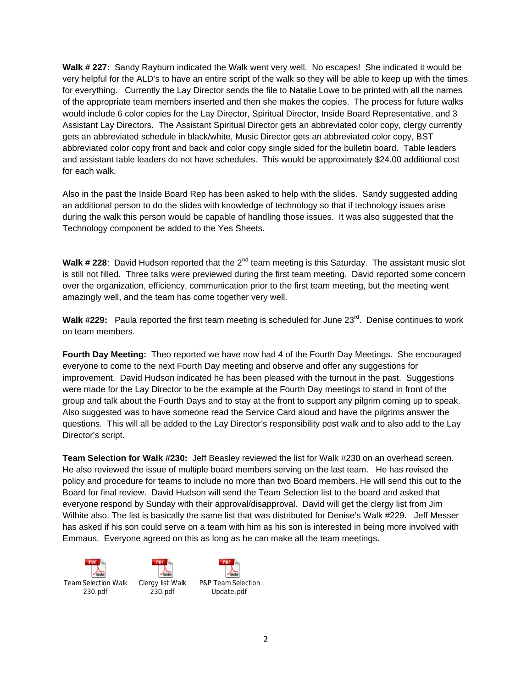**Walk # 227:** Sandy Rayburn indicated the Walk went very well. No escapes! She indicated it would be very helpful for the ALD's to have an entire script of the walk so they will be able to keep up with the times for everything. Currently the Lay Director sends the file to Natalie Lowe to be printed with all the names of the appropriate team members inserted and then she makes the copies. The process for future walks would include 6 color copies for the Lay Director, Spiritual Director, Inside Board Representative, and 3 Assistant Lay Directors. The Assistant Spiritual Director gets an abbreviated color copy, clergy currently gets an abbreviated schedule in black/white, Music Director gets an abbreviated color copy, BST abbreviated color copy front and back and color copy single sided for the bulletin board. Table leaders and assistant table leaders do not have schedules. This would be approximately \$24.00 additional cost for each walk.

Also in the past the Inside Board Rep has been asked to help with the slides. Sandy suggested adding an additional person to do the slides with knowledge of technology so that if technology issues arise during the walk this person would be capable of handling those issues. It was also suggested that the Technology component be added to the Yes Sheets.

Walk # 228: David Hudson reported that the 2<sup>nd</sup> team meeting is this Saturday. The assistant music slot is still not filled. Three talks were previewed during the first team meeting. David reported some concern over the organization, efficiency, communication prior to the first team meeting, but the meeting went amazingly well, and the team has come together very well.

Walk #229: Paula reported the first team meeting is scheduled for June 23<sup>rd</sup>. Denise continues to work on team members.

**Fourth Day Meeting:** Theo reported we have now had 4 of the Fourth Day Meetings. She encouraged everyone to come to the next Fourth Day meeting and observe and offer any suggestions for improvement. David Hudson indicated he has been pleased with the turnout in the past. Suggestions were made for the Lay Director to be the example at the Fourth Day meetings to stand in front of the group and talk about the Fourth Days and to stay at the front to support any pilgrim coming up to speak. Also suggested was to have someone read the Service Card aloud and have the pilgrims answer the questions. This will all be added to the Lay Director's responsibility post walk and to also add to the Lay Director's script.

**Team Selection for Walk #230:** Jeff Beasley reviewed the list for Walk #230 on an overhead screen. He also reviewed the issue of multiple board members serving on the last team. He has revised the policy and procedure for teams to include no more than two Board members. He will send this out to the Board for final review. David Hudson will send the Team Selection list to the board and asked that everyone respond by Sunday with their approval/disapproval. David will get the clergy list from Jim Wilhite also. The list is basically the same list that was distributed for Denise's Walk #229. Jeff Messer has asked if his son could serve on a team with him as his son is interested in being more involved with Emmaus. Everyone agreed on this as long as he can make all the team meetings.

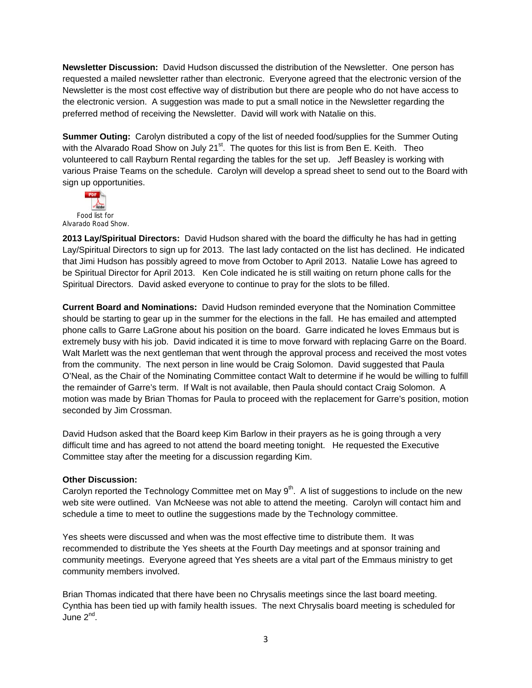**Newsletter Discussion:** David Hudson discussed the distribution of the Newsletter. One person has requested a mailed newsletter rather than electronic. Everyone agreed that the electronic version of the Newsletter is the most cost effective way of distribution but there are people who do not have access to the electronic version. A suggestion was made to put a small notice in the Newsletter regarding the preferred method of receiving the Newsletter. David will work with Natalie on this.

**Summer Outing:** Carolyn distributed a copy of the list of needed food/supplies for the Summer Outing with the Alvarado Road Show on July 21 $^{\text{st}}$ . The quotes for this list is from Ben E. Keith. Theo volunteered to call Rayburn Rental regarding the tables for the set up. Jeff Beasley is working with various Praise Teams on the schedule. Carolyn will develop a spread sheet to send out to the Board with sign up opportunities.



**2013 Lay/Spiritual Directors:** David Hudson shared with the board the difficulty he has had in getting Lay/Spiritual Directors to sign up for 2013. The last lady contacted on the list has declined. He indicated that Jimi Hudson has possibly agreed to move from October to April 2013. Natalie Lowe has agreed to be Spiritual Director for April 2013. Ken Cole indicated he is still waiting on return phone calls for the Spiritual Directors. David asked everyone to continue to pray for the slots to be filled.

**Current Board and Nominations:** David Hudson reminded everyone that the Nomination Committee should be starting to gear up in the summer for the elections in the fall. He has emailed and attempted phone calls to Garre LaGrone about his position on the board. Garre indicated he loves Emmaus but is extremely busy with his job. David indicated it is time to move forward with replacing Garre on the Board. Walt Marlett was the next gentleman that went through the approval process and received the most votes from the community. The next person in line would be Craig Solomon. David suggested that Paula O'Neal, as the Chair of the Nominating Committee contact Walt to determine if he would be willing to fulfill the remainder of Garre's term. If Walt is not available, then Paula should contact Craig Solomon. A motion was made by Brian Thomas for Paula to proceed with the replacement for Garre's position, motion seconded by Jim Crossman.

David Hudson asked that the Board keep Kim Barlow in their prayers as he is going through a very difficult time and has agreed to not attend the board meeting tonight. He requested the Executive Committee stay after the meeting for a discussion regarding Kim.

## **Other Discussion:**

Carolyn reported the Technology Committee met on May  $9<sup>th</sup>$ . A list of suggestions to include on the new web site were outlined. Van McNeese was not able to attend the meeting. Carolyn will contact him and schedule a time to meet to outline the suggestions made by the Technology committee.

Yes sheets were discussed and when was the most effective time to distribute them. It was recommended to distribute the Yes sheets at the Fourth Day meetings and at sponsor training and community meetings. Everyone agreed that Yes sheets are a vital part of the Emmaus ministry to get community members involved.

Brian Thomas indicated that there have been no Chrysalis meetings since the last board meeting. Cynthia has been tied up with family health issues. The next Chrysalis board meeting is scheduled for June 2<sup>nd</sup>.